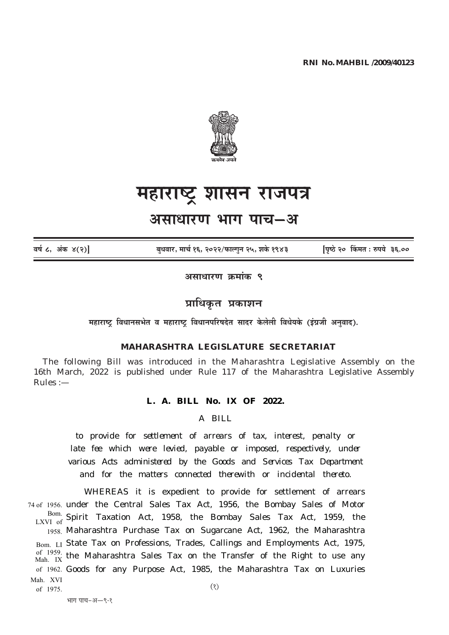

# महाराष्ट्र शासन राजपत्र

## असाधारण भाग पाच–अ

वर्ष ८, अंक ४(२)

बधवार, मार्च १६, २०२२/फाल्गन २५, शके १९४३

पिष्ठे २० किंमत : रुपये ३६.००

असाधारण क्रमांक ९

## प्राधिकृत प्रकाशन

महाराष्ट्र विधानसभेत व महाराष्ट्र विधानपरिषदेत सादर केलेली विधेयके (इंग्रजी अनुवाद).

#### MAHARASHTRA LEGISLATURE SECRETARIAT

The following Bill was introduced in the Maharashtra Legislative Assembly on the 16th March, 2022 is published under Rule 117 of the Maharashtra Legislative Assembly  $Rules :=$ 

#### L. A. BILL No. IX OF 2022.

 $A$   $BII.I$ .

to provide for settlement of arrears of tax, interest, penalty or late fee which were levied, payable or imposed, respectively, under various Acts administered by the Goods and Services Tax Department and for the matters connected therewith or incidental thereto.

WHEREAS it is expedient to provide for settlement of arrears 74 of 1956. under the Central Sales Tax Act, 1956, the Bombay Sales of Motor Bom. Spirit Taxation Act, 1958, the Bombay Sales Tax Act, 1959, the 1958. Maharashtra Purchase Tax on Sugarcane Act, 1962, the Maharashtra Bom. LI State Tax on Professions, Trades, Callings and Employments Act, 1975, of 1959. the Maharashtra Sales Tax on the Transfer of the Right to use any of 1962. Goods for any Purpose Act, 1985, the Maharashtra Tax on Luxuries Mah. XVI

of 1975.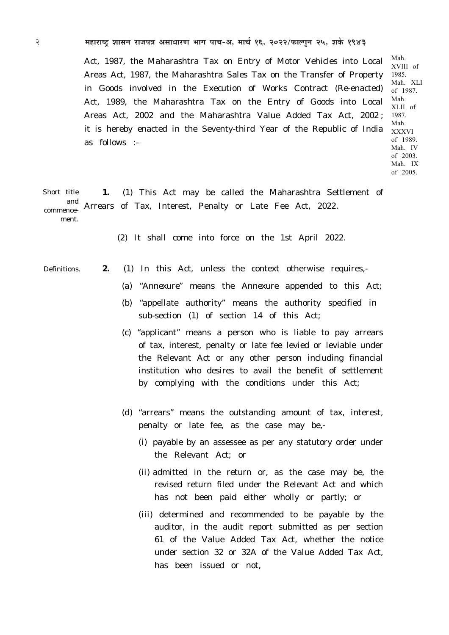2 **¨É½þÉ®úɹ]Åõ ¶ÉɺÉxÉ ®úÉVÉ{ÉjÉ +ºÉÉvÉÉ®úhÉ ¦ÉÉMÉ {ÉÉSÉ-+, ¨ÉÉSÉÇ 16, 2022/¡òɱMÉÖxÉ 25, ¶ÉEäò 1943**

Act, 1987, the Maharashtra Tax on Entry of Motor Vehicles into Local Areas Act, 1987, the Maharashtra Sales Tax on the Transfer of Property in Goods involved in the Execution of Works Contract (Re-enacted) Act, 1989, the Maharashtra Tax on the Entry of Goods into Local Areas Act, 2002 and the Maharashtra Value Added Tax Act, 2002 ; it is hereby enacted in the Seventy-third Year of the Republic of India as follows :–

Mah. XVIII of 1985. Mah. XLI of 1987. Mah. XLII of 1987. Mah. XXXVI of 1989. Mah. IV of 2003. Mah. IX of 2005.

**1.** *(1)* This Act may be called the Maharashtra Settlement of Arrears of Tax, Interest, Penalty or Late Fee Act, 2022. Short title and commencement.

 *(2)* It shall come into force on the 1st April 2022.

Definitions.

- **2.** *(1)* In this Act, unless the context otherwise requires,-
	- *(a)* "*Annexure*" means the *Annexure* appended to this Act;
	- *(b)* "appellate authority" means the authority specified in sub-section (*1*) of section 14 of this Act;
	- *(c)* "applicant" means a person who is liable to pay arrears of tax, interest, penalty or late fee levied or leviable under the Relevant Act or any other person including financial institution who desires to avail the benefit of settlement by complying with the conditions under this Act;
	- *(d)* "arrears" means the outstanding amount of tax, interest, penalty or late fee, as the case may be,-
		- *(i)* payable by an assessee as per any statutory order under the Relevant Act; or
		- *(ii)* admitted in the return or, as the case may be, the revised return filed under the Relevant Act and which has not been paid either wholly or partly; or
		- *(iii)* determined and recommended to be payable by the auditor, in the audit report submitted as per section 61 of the Value Added Tax Act, whether the notice under section 32 or 32A of the Value Added Tax Act, has been issued or not,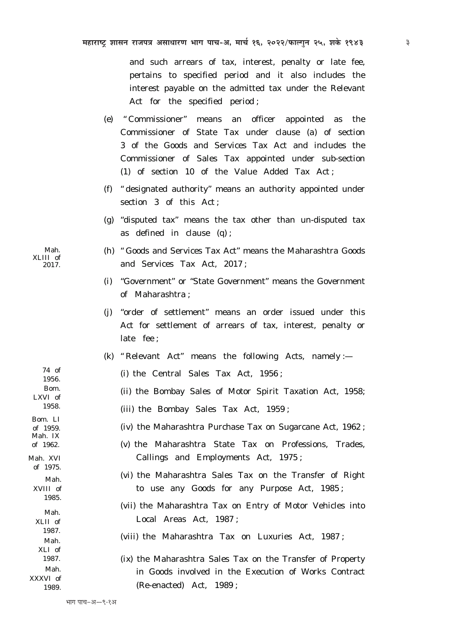and such arrears of tax, interest, penalty or late fee, pertains to specified period and it also includes the interest payable on the admitted tax under the Relevant Act for the specified period;

- (e) "Commissioner" means an officer appointed as the Commissioner of State Tax under clause (a) of section 3 of the Goods and Services Tax Act and includes the Commissioner of Sales Tax appointed under sub-section (1) of section 10 of the Value Added Tax Act;
- $(f)$  "designated authority" means an authority appointed under section 3 of this Act:
- (g) "disputed tax" means the tax other than un-disputed tax as defined in clause  $(q)$ ;
- (h) "Goods and Services Tax Act" means the Maharashtra Goods and Services Tax Act. 2017;
- (i) "Government" or "State Government" means the Government of Maharashtra ·
- (i) "order of settlement" means an order issued under this Act for settlement of arrears of tax, interest, penalty or late fee ;
- (k) "Relevant Act" means the following Acts, namely :-
	- $(i)$  the Central Sales Tax Act, 1956;
	- (ii) the Bombay Sales of Motor Spirit Taxation Act, 1958;
	- (iii) the Bombay Sales Tax Act, 1959;
		- (iv) the Maharashtra Purchase Tax on Sugarcane Act, 1962;
		- $(v)$  the Maharashtra State Tax on Professions, Trades, Callings and Employments Act, 1975;
		- (vi) the Maharashtra Sales Tax on the Transfer of Right to use any Goods for any Purpose Act, 1985;
		- (vii) the Maharashtra Tax on Entry of Motor Vehicles into Local Areas Act, 1987;

(viii) the Maharashtra Tax on Luxuries Act, 1987;

(ix) the Maharashtra Sales Tax on the Transfer of Property in Goods involved in the Execution of Works Contract (Re-enacted) Act. 1989:

Mah. XLIII of 2017.

1956. **B**<sub>om</sub> LXVI of 1958. Bom. LI of 1959. Mah. IX of 1962. Mah. XVI of 1975. Mah XVIII of 1985. Mah. XLII of

74 of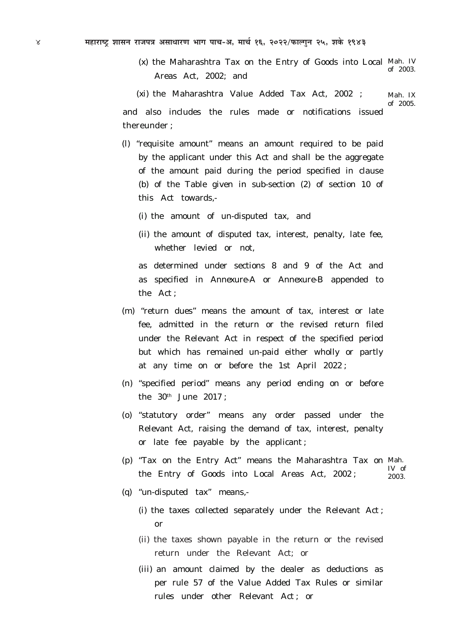*(x)* the Maharashtra Tax on the Entry of Goods into Local Mah. IV Areas Act, 2002; and of 2003.

*(xi)* the Maharashtra Value Added Tax Act, 2002 ; and also includes the rules made or notifications issued thereunder ; Mah. IX of 2005.

- *(l)* "requisite amount" means an amount required to be paid by the applicant under this Act and shall be the aggregate of the amount paid during the period specified in clause (*b*) of the Table given in sub-section (*2*) of section 10 of this Act towards,-
	- *(i)* the amount of un-disputed tax, and
	- *(ii)* the amount of disputed tax, interest, penalty, late fee, whether levied or not,

as determined under sections 8 and 9 of the Act and as specified in *Annexure-A or Annexure-B* appended to the Act ;

- *(m)* "return dues" means the amount of tax, interest or late fee, admitted in the return or the revised return filed under the Relevant Act in respect of the specified period but which has remained un-paid either wholly or partly at any time on or before the 1st April 2022 ;
- *(n)* "specified period" means any period ending on or before the  $30<sup>th</sup>$  June  $2017$ :
- *(o)* "statutory order" means any order passed under the Relevant Act, raising the demand of tax, interest, penalty or late fee payable by the applicant ;
- *(p)* "Tax on the Entry Act" means the Maharashtra Tax on Mah. the Entry of Goods into Local Areas Act, 2002 ; IV of 2003.
- *(q)* "un-disputed tax" means,-
	- *(i)* the taxes collected separately under the Relevant Act ; or
	- *(ii)* the taxes shown payable in the return or the revised return under the Relevant Act; or
	- *(iii)* an amount claimed by the dealer as deductions as per rule 57 of the Value Added Tax Rules or similar rules under other Relevant Act ; or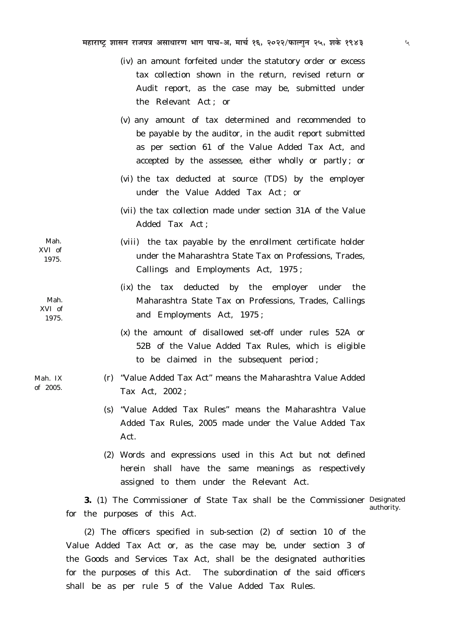- *(iv)* an amount forfeited under the statutory order or excess tax collection shown in the return, revised return or Audit report, as the case may be, submitted under the Relevant Act ; or
- *(v)* any amount of tax determined and recommended to be payable by the auditor, in the audit report submitted as per section 61 of the Value Added Tax Act, and accepted by the assessee, either wholly or partly ; or
- *(vi)* the tax deducted at source (TDS) by the employer under the Value Added Tax Act ; or
- *(vii)* the tax collection made under section 31A of the Value Added Tax Act ;
- *(viii)* the tax payable by the enrollment certificate holder under the Maharashtra State Tax on Professions, Trades, Callings and Employments Act, 1975 ;
	- *(ix)* the tax deducted by the employer under the Maharashtra State Tax on Professions, Trades, Callings and Employments Act, 1975 ;
	- *(x)* the amount of disallowed set-off under rules 52A or 52B of the Value Added Tax Rules, which is eligible to be claimed in the subsequent period ;
	- *(r)* "Value Added Tax Act" means the Maharashtra Value Added Tax Act, 2002 ;
	- *(s)* "Value Added Tax Rules" means the Maharashtra Value Added Tax Rules, 2005 made under the Value Added Tax Act.
	- *(2)* Words and expressions used in this Act but not defined herein shall have the same meanings as respectively assigned to them under the Relevant Act.

**3.** *(1)* The Commissioner of State Tax shall be the Commissioner Designated for the purposes of this Act. authority.

*(2)* The officers specified in sub-section *(2)* of section 10 of the Value Added Tax Act or, as the case may be, under section 3 of the Goods and Services Tax Act, shall be the designated authorities for the purposes of this Act. The subordination of the said officers shall be as per rule 5 of the Value Added Tax Rules.

Mah. XVI of 1975.

Mah. XVI of 1975.

Mah. IX of 2005.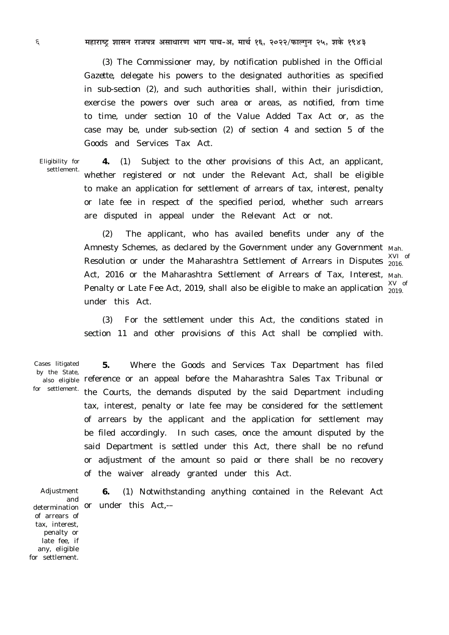6 **¨É½þÉ®úɹ]Åõ ¶ÉɺÉxÉ ®úÉVÉ{ÉjÉ +ºÉÉvÉÉ®úhÉ ¦ÉÉMÉ {ÉÉSÉ-+, ¨ÉÉSÉÇ 16, 2022/¡òɱMÉÖxÉ 25, ¶ÉEäò 1943**

*(3)* The Commissioner may, by notification published in the O*fficial Gazette,* delegate his powers to the designated authorities as specified in sub-section *(2),* and such authorities shall, within their jurisdiction, exercise the powers over such area or areas, as notified, from time to time, under section 10 of the Value Added Tax Act or, as the case may be, under sub-section *(2)* of section 4 and section 5 of the Goods and Services Tax Act.

Eligibility for settlement.

**4.** *(1)* Subject to the other provisions of this Act, an applicant, whether registered or not under the Relevant Act, shall be eligible to make an application for settlement of arrears of tax, interest, penalty or late fee in respect of the specified period, whether such arrears are disputed in appeal under the Relevant Act or not.

*(2)* The applicant, who has availed benefits under any of the Amnesty Schemes, as declared by the Government under any Government Mah. Resolution or under the Maharashtra Settlement of Arrears in Disputes  $\frac{301}{2016}$ . Act, 2016 or the Maharashtra Settlement of Arrears of Tax, Interest, Mah. Penalty or Late Fee Act, 2019, shall also be eligible to make an application  $\frac{\text{XV}}{\text{2019}}$ under this Act.

XVI of

2019.

*(3)* For the settlement under this Act, the conditions stated in section 11 and other provisions of this Act shall be complied with.

Cases litigated by the State, for settlement.

**5.** Where the Goods and Services Tax Department has filed <sub>also eligible</sub> reference or an appeal before the Maharashtra Sales Tax Tribunal or the Courts, the demands disputed by the said Department including tax, interest, penalty or late fee may be considered for the settlement of arrears by the applicant and the application for settlement may be filed accordingly. In such cases, once the amount disputed by the said Department is settled under this Act, there shall be no refund or adjustment of the amount so paid or there shall be no recovery of the waiver already granted under this Act.

Adjustment and of arrears of tax, interest, penalty or late fee, if any, eligible for settlement.

**6.** *(1)* Notwithstanding anything contained in the Relevant Act determination or under this Act,-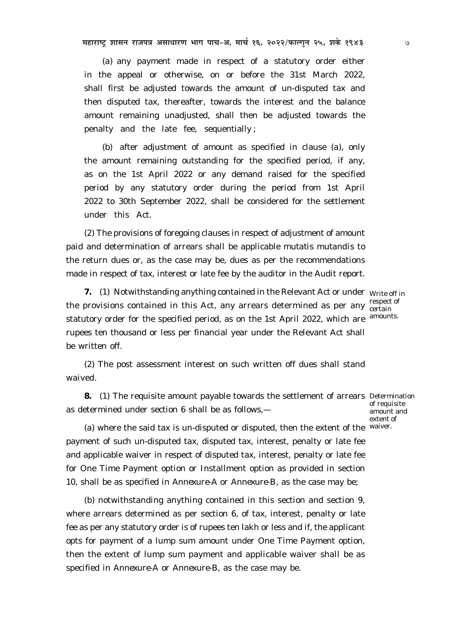महाराष्ट्र शासन राजपत्र असाधारण भाग पाच-अ, मार्च १६, २०२२/फाल्गुन २५, शके १९४३ ७

*(a)* any payment made in respect of a statutory order either in the appeal or otherwise, on or before the 31st March 2022, shall first be adjusted towards the amount of un-disputed tax and then disputed tax, thereafter, towards the interest and the balance amount remaining unadjusted, shall then be adjusted towards the penalty and the late fee, sequentially ;

*(b)* after adjustment of amount as specified in clause *(a)*, only the amount remaining outstanding for the specified period, if any, as on the 1st April 2022 or any demand raised for the specified period by any statutory order during the period from 1st April 2022 to 30th September 2022, shall be considered for the settlement under this Act.

*(2)* The provisions of foregoing clauses in respect of adjustment of amount paid and determination of arrears shall be applicable *mutatis mutandis* to the return dues or, as the case may be, dues as per the recommendations made in respect of tax, interest or late fee by the auditor in the Audit report.

**7.** (1) Notwithstanding anything contained in the Relevant Act or under Write off in the provisions contained in this Act, any arrears determined as per any  $\frac{1}{\text{certain}}$ statutory order for the specified period, as on the 1st April 2022, which are rupees ten thousand or less per financial year under the Relevant Act shall be written off.

respect of amounts.

extent of

*(2)* The post assessment interest on such written off dues shall stand waived.

**8.** *(1)* The requisite amount payable towards the settlement of arrears Determination as determined under section 6 shall be as follows, of requisite amount and

*(a)* where the said tax is un-disputed or disputed, then the extent of the waiver.payment of such un-disputed tax, disputed tax, interest, penalty or late fee and applicable waiver in respect of disputed tax, interest, penalty or late fee for One Time Payment option or Installment option as provided in section 10, shall be as specified in *Annexure-A* or *Annexure-B,* as the case may be;

(*b*) notwithstanding anything contained in this section and section 9, where arrears determined as per section 6, of tax, interest, penalty or late fee as per any statutory order is of rupees ten lakh or less and if, the applicant opts for payment of a lump sum amount under One Time Payment option, then the extent of lump sum payment and applicable waiver shall be as specified in *Annexure-A* or *Annexure-B*, as the case may be.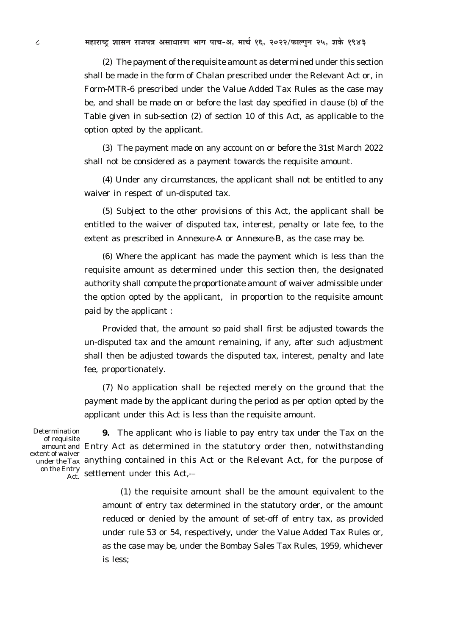*(2)* The payment of the requisite amount as determined under this section shall be made in the form of *Chalan* prescribed under the Relevant Act or, in Form-MTR-6 prescribed under the Value Added Tax Rules as the case may be, and shall be made on or before the last day specified in clause *(b)* of the Table given in sub-section (*2*) of section 10 of this Act, as applicable to the option opted by the applicant.

*(3)* The payment made on any account on or before the 31st March 2022 shall not be considered as a payment towards the requisite amount.

*(4)* Under any circumstances, the applicant shall not be entitled to any waiver in respect of un-disputed tax.

*(5)* Subject to the other provisions of this Act, the applicant shall be entitled to the waiver of disputed tax, interest, penalty or late fee, to the extent as prescribed in *Annexure-A* or *Annexure-B*, as the case may be.

*(6)* Where the applicant has made the payment which is less than the requisite amount as determined under this section then, the designated authority shall compute the proportionate amount of waiver admissible under the option opted by the applicant, in proportion to the requisite amount paid by the applicant :

Provided that, the amount so paid shall first be adjusted towards the un-disputed tax and the amount remaining, if any, after such adjustment shall then be adjusted towards the disputed tax, interest, penalty and late fee, proportionately.

*(7)* No application shall be rejected merely on the ground that the payment made by the applicant during the period as per option opted by the applicant under this Act is less than the requisite amount.

Determination of requisite extent of waiver on the Entry

**9.** The applicant who is liable to pay entry tax under the Tax on the amount and Entry Act as determined in the statutory order then, notwithstanding under the Tax anything contained in this Act or the Relevant Act, for the purpose of  $\frac{\text{arg}}{\text{Act}}$  settlement under this Act,-

> *(1)* the requisite amount shall be the amount equivalent to the amount of entry tax determined in the statutory order, or the amount reduced or denied by the amount of set-off of entry tax, as provided under rule 53 or 54, respectively, under the Value Added Tax Rules or, as the case may be, under the Bombay Sales Tax Rules, 1959, whichever is less;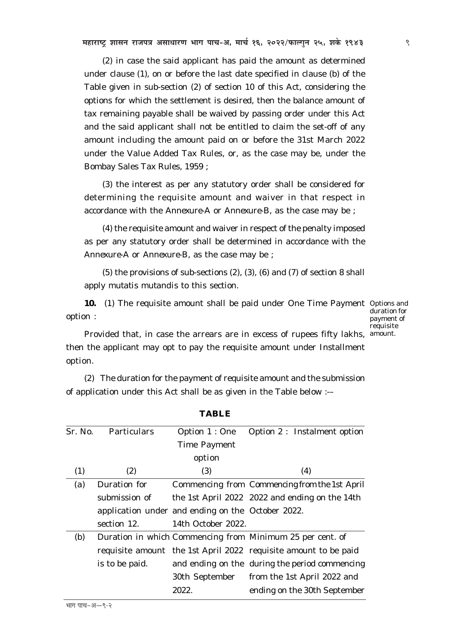महाराष्ट्र शासन राजपत्र असाधारण भाग पाच-अ, मार्च १६, २०२२/फाल्गुन २५, शके १९४३ **विकार ४६, इन्छन्-** ९

*(2)* in case the said applicant has paid the amount as determined under clause *(1)*, on or before the last date specified in clause *(b)* of the Table given in sub-section (*2*) of section 10 of this Act, considering the options for which the settlement is desired, then the balance amount of tax remaining payable shall be waived by passing order under this Act and the said applicant shall not be entitled to claim the set-off of any amount including the amount paid on or before the 31st March 2022 under the Value Added Tax Rules, or, as the case may be, under the Bombay Sales Tax Rules, 1959 ;

*(3)* the interest as per any statutory order shall be considered for determining the requisite amount and waiver in that respect in accordance with the *Annexure-A* or *Annexure-B,* as the case may be ;

*(4)* the requisite amount and waiver in respect of the penalty imposed as per any statutory order shall be determined in accordance with the *Annexure-A* or *Annexure-B,* as the case may be ;

*(5)* the provisions of sub-sections *(2), (3), (6)* and *(7)* of section 8 shall apply *mutatis mutandis* to this section.

**10.** (1) The requisite amount shall be paid under One Time Payment Options and option :

duration for payment of requisite

Provided that, in case the arrears are in excess of rupees fifty lakhs, amount. then the applicant may opt to pay the requisite amount under Installment option.

*(2)* The duration for the payment of requisite amount and the submission of application under this Act shall be as given in the Table below :-–

| Sr. No. | Particulars    | Option 1 : One                                    | Option 2 : Instalment option                                    |
|---------|----------------|---------------------------------------------------|-----------------------------------------------------------------|
|         |                | <b>Time Payment</b>                               |                                                                 |
|         |                | option                                            |                                                                 |
| (1)     | (2)            | (3)                                               | (4)                                                             |
| (a)     | Duration for   |                                                   | Commencing from Commencing from the 1st April                   |
|         | submission of  |                                                   | the 1st April 2022 2022 and ending on the 14th                  |
|         |                | application under and ending on the October 2022. |                                                                 |
|         | section 12.    | 14th October 2022.                                |                                                                 |
| (b)     |                |                                                   | Duration in which Commencing from Minimum 25 per cent. of       |
|         |                |                                                   | requisite amount the 1st April 2022 requisite amount to be paid |
|         | is to be paid. |                                                   | and ending on the during the period commencing                  |
|         |                |                                                   | 30th September from the 1st April 2022 and                      |
|         |                | 2022.                                             | ending on the 30th September                                    |

**TABLE**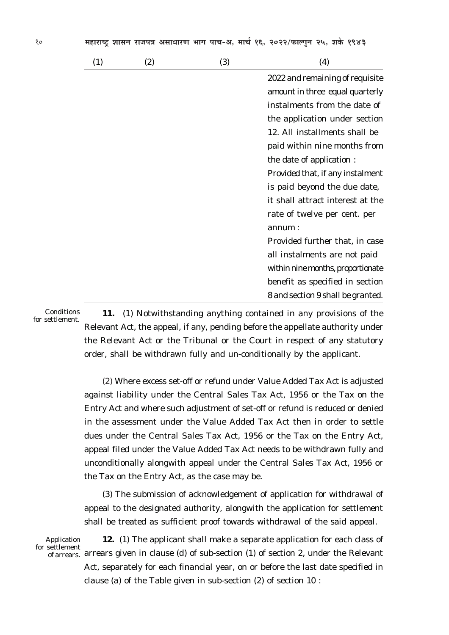| (1) | (2) | (3) | (4)                               |
|-----|-----|-----|-----------------------------------|
|     |     |     | 2022 and remaining of requisite   |
|     |     |     | amount in three equal quarterly   |
|     |     |     | instalments from the date of      |
|     |     |     | the application under section     |
|     |     |     | 12. All installments shall be     |
|     |     |     | paid within nine months from      |
|     |     |     | the date of application :         |
|     |     |     | Provided that, if any instalment  |
|     |     |     | is paid beyond the due date,      |
|     |     |     | it shall attract interest at the  |
|     |     |     | rate of twelve per cent. per      |
|     |     |     | annum:                            |
|     |     |     | Provided further that, in case    |
|     |     |     | all instalments are not paid      |
|     |     |     | within nine months, proportionate |
|     |     |     | benefit as specified in section   |
|     |     |     | 8 and section 9 shall be granted. |

Conditions for settlement.

**11.** *(1)* Notwithstanding anything contained in any provisions of the Relevant Act, the appeal, if any, pending before the appellate authority under the Relevant Act or the Tribunal or the Court in respect of any statutory order, shall be withdrawn fully and un-conditionally by the applicant.

*(2)* Where excess set-off or refund under Value Added Tax Act is adjusted against liability under the Central Sales Tax Act, 1956 or the Tax on the Entry Act and where such adjustment of set-off or refund is reduced or denied in the assessment under the Value Added Tax Act then in order to settle dues under the Central Sales Tax Act, 1956 or the Tax on the Entry Act, appeal filed under the Value Added Tax Act needs to be withdrawn fully and unconditionally alongwith appeal under the Central Sales Tax Act, 1956 or the Tax on the Entry Act, as the case may be.

*(3)* The submission of acknowledgement of application for withdrawal of appeal to the designated authority, alongwith the application for settlement shall be treated as sufficient proof towards withdrawal of the said appeal.

Application for settlement

**12.** *(1)* The applicant shall make a separate application for each class of  $_{\rm of\,arrears.}$  arrears given in clause *(d)* of sub-section *(1)* of section 2, under the Relevant Act, separately for each financial year, on or before the last date specified in clause *(a)* of the Table given in sub-section (*2*) of section 10 :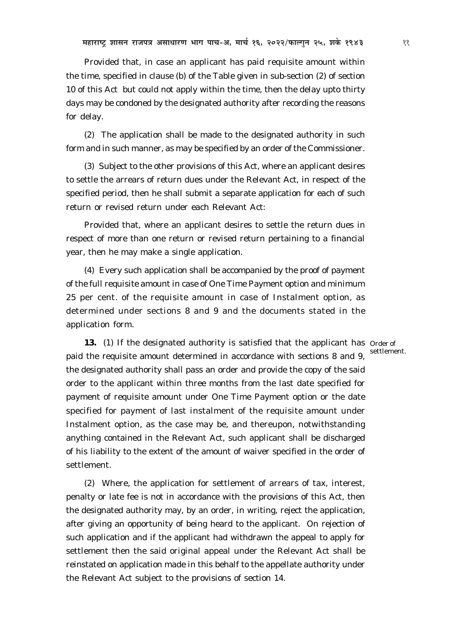Provided that, in case an applicant has paid requisite amount within the time, specified in clause *(b)* of the Table given in sub-section (*2*) of section 10 of this Act but could not apply within the time, then the delay upto thirty days may be condoned by the designated authority after recording the reasons for delay.

*(2)* The application shall be made to the designated authority in such form and in such manner, as may be specified by an order of the Commissioner.

*(3)* Subject to the other provisions of this Act, where an applicant desires to settle the arrears of return dues under the Relevant Act, in respect of the specified period, then he shall submit a separate application for each of such return or revised return under each Relevant Act:

Provided that, where an applicant desires to settle the return dues in respect of more than one return or revised return pertaining to a financial year, then he may make a single application.

*(4)* Every such application shall be accompanied by the proof of payment of the full requisite amount in case of One Time Payment option and minimum 25 per cent. of the requisite amount in case of Instalment option, as determined under sections 8 and 9 and the documents stated in the application form.

13. (1) If the designated authority is satisfied that the applicant has Order of paid the requisite amount determined in accordance with sections 8 and 9, the designated authority shall pass an order and provide the copy of the said order to the applicant within three months from the last date specified for payment of requisite amount under One Time Payment option or the date specified for payment of last instalment of the requisite amount under Instalment option, as the case may be, and thereupon, notwithstanding anything contained in the Relevant Act, such applicant shall be discharged of his liability to the extent of the amount of waiver specified in the order of settlement. settlement.

*(2)* Where, the application for settlement of arrears of tax, interest, penalty or late fee is not in accordance with the provisions of this Act, then the designated authority may, by an order, in writing, reject the application, after giving an opportunity of being heard to the applicant. On rejection of such application and if the applicant had withdrawn the appeal to apply for settlement then the said original appeal under the Relevant Act shall be reinstated on application made in this behalf to the appellate authority under the Relevant Act subject to the provisions of section 14.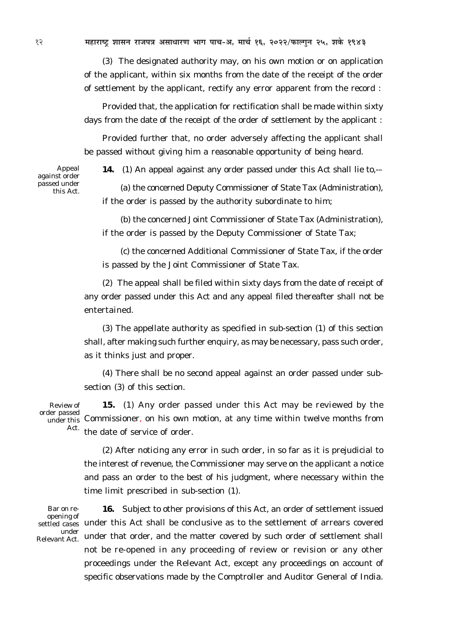12 **¨É½þÉ®úɹ]Åõ ¶ÉɺÉxÉ ®úÉVÉ{ÉjÉ +ºÉÉvÉÉ®úhÉ ¦ÉÉMÉ {ÉÉSÉ-+, ¨ÉÉSÉÇ 16, 2022/¡òɱMÉÖxÉ 25, ¶ÉEäò 1943**

*(3)* The designated authority may, on his own motion or on application of the applicant, within six months from the date of the receipt of the order of settlement by the applicant, rectify any error apparent from the record :

Provided that, the application for rectification shall be made within sixty days from the date of the receipt of the order of settlement by the applicant :

Provided further that, no order adversely affecting the applicant shall be passed without giving him a reasonable opportunity of being heard.

Appeal against order passed under this Act.

**14.** *(1)* An appeal against any order passed under this Act shall lie to,-–

*(a)* the concerned Deputy Commissioner of State Tax (Administration), if the order is passed by the authority subordinate to him;

*(b)* the concerned Joint Commissioner of State Tax (Administration), if the order is passed by the Deputy Commissioner of State Tax;

*(c)* the concerned Additional Commissioner of State Tax, if the order is passed by the Joint Commissioner of State Tax.

*(2)* The appeal shall be filed within sixty days from the date of receipt of any order passed under this Act and any appeal filed thereafter shall not be entertained.

*(3)* The appellate authority as specified in sub-section *(1)* of this section shall, after making such further enquiry, as may be necessary, pass such order, as it thinks just and proper.

*(4)* There shall be no second appeal against an order passed under subsection *(3)* of this section.

Review of order passed Act.

**15.** *(1)* Any order passed under this Act may be reviewed by the under this Commissioner, on his own motion, at any time within twelve months from the date of service of order.

> *(2)* After noticing any error in such order, in so far as it is prejudicial to the interest of revenue, the Commissioner may serve on the applicant a notice and pass an order to the best of his judgment, where necessary within the time limit prescribed in sub-section *(1)*.

Bar on reopening of under Relevant Act.

**16.** Subject to other provisions of this Act, an order of settlement issued settled cases under this Act shall be conclusive as to the settlement of arrears covered under that order, and the matter covered by such order of settlement shall not be re-opened in any proceeding of review or revision or any other proceedings under the Relevant Act, except any proceedings on account of specific observations made by the Comptroller and Auditor General of India.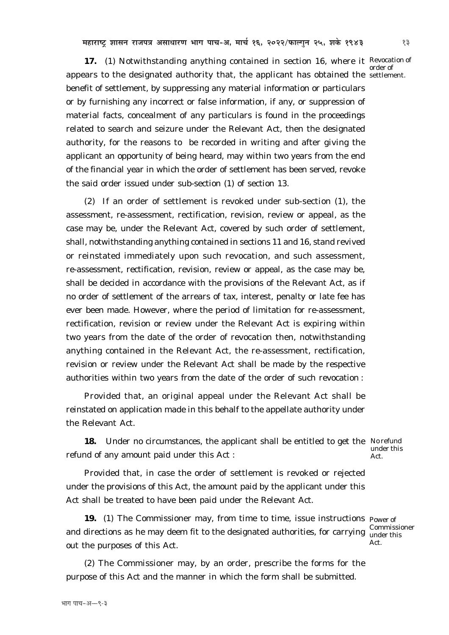17. (1) Notwithstanding anything contained in section 16, where it Revocation of appears to the designated authority that, the applicant has obtained the settlement. benefit of settlement, by suppressing any material information or particulars or by furnishing any incorrect or false information, if any, or suppression of material facts, concealment of any particulars is found in the proceedings related to search and seizure under the Relevant Act, then the designated authority, for the reasons to be recorded in writing and after giving the applicant an opportunity of being heard, may within two years from the end of the financial year in which the order of settlement has been served, revoke the said order issued under sub-section *(1)* of section 13.

*(2)* If an order of settlement is revoked under sub-section *(1)*, the assessment, re-assessment, rectification, revision, review or appeal, as the case may be, under the Relevant Act, covered by such order of settlement, shall, notwithstanding anything contained in sections 11 and 16, stand revived or reinstated immediately upon such revocation, and such assessment, re-assessment, rectification, revision, review or appeal, as the case may be, shall be decided in accordance with the provisions of the Relevant Act, as if no order of settlement of the arrears of tax, interest, penalty or late fee has ever been made. However, where the period of limitation for re-assessment, rectification, revision or review under the Relevant Act is expiring within two years from the date of the order of revocation then, notwithstanding anything contained in the Relevant Act, the re-assessment, rectification, revision or review under the Relevant Act shall be made by the respective authorities within two years from the date of the order of such revocation :

Provided that, an original appeal under the Relevant Act shall be reinstated on application made in this behalf to the appellate authority under the Relevant Act.

**18.** Under no circumstances, the applicant shall be entitled to get the Norefund refund of any amount paid under this Act :

under this Act.

Commissioner

Act.

Provided that, in case the order of settlement is revoked or rejected under the provisions of this Act, the amount paid by the applicant under this Act shall be treated to have been paid under the Relevant Act.

**19.** (1) The Commissioner may, from time to time, issue instructions  $_{\text{Power of}}$ and directions as he may deem fit to the designated authorities, for carrying under this out the purposes of this Act.

*(2)* The Commissioner may, by an order, prescribe the forms for the purpose of this Act and the manner in which the form shall be submitted.

order of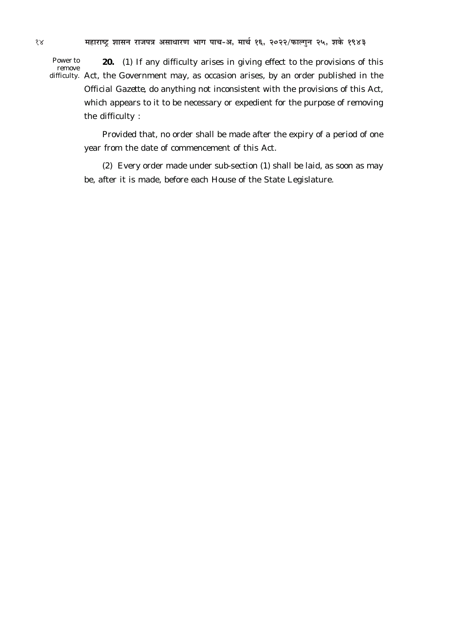Power to remove

**20.** (*1*) If any difficulty arises in giving effect to the provisions of this difficulty. Act, the Government may, as occasion arises, by an order published in the *Official Gazette*, do anything not inconsistent with the provisions of this Act, which appears to it to be necessary or expedient for the purpose of removing the difficulty :

Provided that, no order shall be made after the expiry of a period of one year from the date of commencement of this Act.

(*2*) Every order made under sub-section (*1*) shall be laid, as soon as may be, after it is made, before each House of the State Legislature.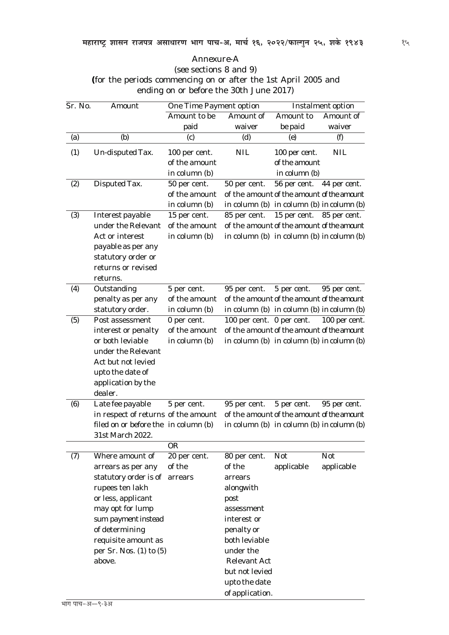### *Annexure-A* (*see* sections 8 and 9) **(**for the periods commencing on or after the 1st April 2005 and ending on or before the 30th June 2017)

| Sr. No.                            | Amount                                 | <b>One Time Payment option</b> |                                                 | <b>Instalment option</b> |               |
|------------------------------------|----------------------------------------|--------------------------------|-------------------------------------------------|--------------------------|---------------|
|                                    |                                        | Amount to be                   | Amount of                                       | Amount to                | Amount of     |
|                                    |                                        | paid                           | waiver                                          | be paid                  | waiver        |
| (a)                                | (b)                                    | (c)                            | (d)                                             | (e)                      | $\theta$      |
| $\left( \frac{\eta}{\eta} \right)$ | Un-disputed Tax.                       | 100 per cent.                  | <b>NIL</b>                                      | 100 per cent.            | <b>NIL</b>    |
|                                    |                                        | of the amount                  |                                                 | of the amount            |               |
|                                    |                                        | in column $(b)$                |                                                 | in column $(b)$          |               |
| (2)                                | Disputed Tax.                          | 50 per cent.                   | 50 per cent.                                    | 56 per cent.             | 44 per cent.  |
|                                    |                                        | of the amount                  | of the amount of the amount of the amount       |                          |               |
|                                    |                                        | in column $(b)$                | in column $(b)$ in column $(b)$ in column $(b)$ |                          |               |
| (3)                                | Interest payable                       | 15 per cent.                   | 85 per cent.                                    | 15 per cent.             | 85 per cent.  |
|                                    | under the Relevant                     | of the amount                  | of the amount of the amount of the amount       |                          |               |
|                                    | Act or interest                        | in column $(b)$                | in column $(b)$ in column $(b)$ in column $(b)$ |                          |               |
|                                    | payable as per any                     |                                |                                                 |                          |               |
|                                    | statutory order or                     |                                |                                                 |                          |               |
|                                    | returns or revised                     |                                |                                                 |                          |               |
|                                    | returns.                               |                                |                                                 |                          |               |
| $\left( 4\right)$                  | Outstanding                            | 5 per cent.                    | 95 per cent.                                    | 5 per cent.              | 95 per cent.  |
|                                    | penalty as per any                     | of the amount                  | of the amount of the amount of the amount       |                          |               |
|                                    | statutory order.                       | in column $(b)$                | in column $(b)$ in column $(b)$ in column $(b)$ |                          |               |
| (5)                                | Post assessment                        | 0 per cent.                    | 100 per cent. 0 per cent.                       |                          | 100 per cent. |
|                                    | interest or penalty                    | of the amount                  | of the amount of the amount of the amount       |                          |               |
|                                    | or both leviable                       | in column $(b)$                | in column $(b)$ in column $(b)$ in column $(b)$ |                          |               |
|                                    | under the Relevant                     |                                |                                                 |                          |               |
|                                    | Act but not levied                     |                                |                                                 |                          |               |
|                                    | upto the date of                       |                                |                                                 |                          |               |
|                                    | application by the                     |                                |                                                 |                          |               |
|                                    | dealer.                                |                                |                                                 |                          |               |
| (6)                                | Late fee payable                       | 5 per cent.                    | 95 per cent.                                    | 5 per cent.              | 95 per cent.  |
|                                    | in respect of returns of the amount    |                                | of the amount of the amount of the amount       |                          |               |
|                                    | filed on or before the in column $(b)$ |                                | in column $(b)$ in column $(b)$ in column $(b)$ |                          |               |
|                                    | 31st March 2022.                       |                                |                                                 |                          |               |
|                                    |                                        | <b>OR</b>                      |                                                 |                          |               |
| (7)                                | Where amount of                        | 20 per cent.                   | 80 per cent.                                    | <b>Not</b>               | <b>Not</b>    |
|                                    | arrears as per any                     | of the                         | of the                                          | applicable               | applicable    |
|                                    | statutory order is of                  | arrears                        | arrears                                         |                          |               |
|                                    | rupees ten lakh                        |                                | alongwith                                       |                          |               |
|                                    | or less, applicant                     |                                | post                                            |                          |               |
|                                    | may opt for lump                       |                                | assessment                                      |                          |               |
|                                    | sum payment instead                    |                                | interest or                                     |                          |               |
|                                    | of determining                         |                                | penalty or                                      |                          |               |
|                                    | requisite amount as                    |                                | both leviable                                   |                          |               |
|                                    | per Sr. Nos. $(1)$ to $(5)$            |                                | under the                                       |                          |               |
|                                    | above.                                 |                                | <b>Relevant Act</b>                             |                          |               |
|                                    |                                        |                                | but not levied                                  |                          |               |
|                                    |                                        |                                | upto the date                                   |                          |               |
|                                    |                                        |                                | of application.                                 |                          |               |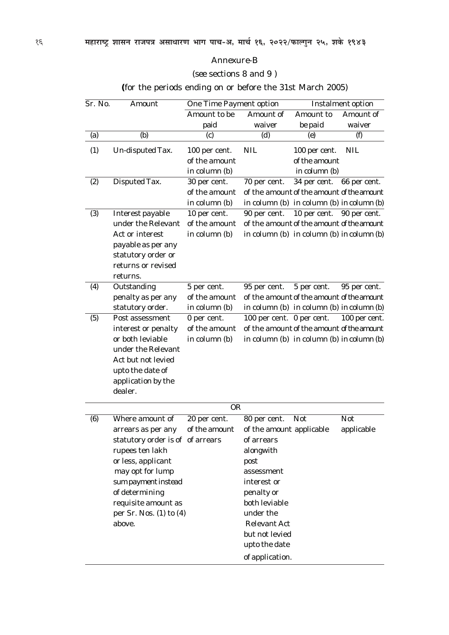#### *Annexure-B*

(*see* sections 8 and 9 )

**(**for the periods ending on or before the 31st March 2005)

| Sr. No.                            | Amount                           | <b>One Time Payment option</b> |                                                 | <b>Instalment option</b> |               |
|------------------------------------|----------------------------------|--------------------------------|-------------------------------------------------|--------------------------|---------------|
|                                    |                                  | Amount to be                   | Amount of                                       | Amount to                | Amount of     |
|                                    |                                  | paid                           | waiver                                          | be paid                  | waiver        |
| (a)                                | (b)                              | (c)                            | (d)                                             | (e)                      | $\theta$      |
| $\left( \frac{\eta}{\eta} \right)$ | Un-disputed Tax.                 | 100 per cent.                  | <b>NIL</b>                                      | 100 per cent.            | <b>NIL</b>    |
|                                    |                                  | of the amount                  |                                                 | of the amount            |               |
|                                    |                                  | in column $(b)$                |                                                 | in column $(b)$          |               |
| (2)                                | Disputed Tax.                    | 30 per cent.                   | 70 per cent.                                    | 34 per cent.             | 66 per cent.  |
|                                    |                                  | of the amount                  | of the amount of the amount of the amount       |                          |               |
|                                    |                                  | in column $(b)$                | in column $(b)$ in column $(b)$ in column $(b)$ |                          |               |
| (3)                                | Interest payable                 | 10 per cent.                   | 90 per cent.                                    | 10 per cent.             | 90 per cent.  |
|                                    | under the Relevant               | of the amount                  | of the amount of the amount of the amount       |                          |               |
|                                    | Act or interest                  | in column $(b)$                | in column $(b)$ in column $(b)$ in column $(b)$ |                          |               |
|                                    | payable as per any               |                                |                                                 |                          |               |
|                                    | statutory order or               |                                |                                                 |                          |               |
|                                    | returns or revised               |                                |                                                 |                          |               |
|                                    | returns.                         |                                |                                                 |                          |               |
| $\left( 4\right)$                  | Outstanding                      | 5 per cent.                    | 95 per cent.                                    | 5 per cent.              | 95 per cent.  |
|                                    | penalty as per any               | of the amount                  | of the amount of the amount of the amount       |                          |               |
|                                    | statutory order.                 | in column $(b)$                | in column $(b)$ in column $(b)$ in column $(b)$ |                          |               |
| (5)                                | Post assessment                  | 0 per cent.                    | 100 per cent. 0 per cent.                       |                          | 100 per cent. |
|                                    | interest or penalty              | of the amount                  | of the amount of the amount of the amount       |                          |               |
|                                    | or both leviable                 | in column $(b)$                | in column $(b)$ in column $(b)$ in column $(b)$ |                          |               |
|                                    | under the Relevant               |                                |                                                 |                          |               |
|                                    | Act but not levied               |                                |                                                 |                          |               |
|                                    | upto the date of                 |                                |                                                 |                          |               |
|                                    | application by the               |                                |                                                 |                          |               |
|                                    | dealer.                          |                                |                                                 |                          |               |
|                                    |                                  | <b>OR</b>                      |                                                 |                          |               |
| (6)                                | Where amount of                  | 20 per cent.                   | 80 per cent.                                    | <b>Not</b>               | <b>Not</b>    |
|                                    | arrears as per any               | of the amount                  | of the amount applicable                        |                          | applicable    |
|                                    | statutory order is of of arrears |                                | of arrears                                      |                          |               |
|                                    | rupees ten lakh                  |                                | alongwith                                       |                          |               |
|                                    | or less, applicant               |                                | post                                            |                          |               |
|                                    | may opt for lump                 |                                | assessment                                      |                          |               |
|                                    | sum payment instead              |                                | interest or                                     |                          |               |
|                                    | of determining                   |                                | penalty or                                      |                          |               |
|                                    | requisite amount as              |                                | both leviable                                   |                          |               |
|                                    | per Sr. Nos. $(1)$ to $(4)$      |                                | under the                                       |                          |               |
|                                    | above.                           |                                | <b>Relevant Act</b>                             |                          |               |
|                                    |                                  |                                | but not levied                                  |                          |               |
|                                    |                                  |                                | upto the date                                   |                          |               |
|                                    |                                  |                                |                                                 |                          |               |
|                                    |                                  |                                | of application.                                 |                          |               |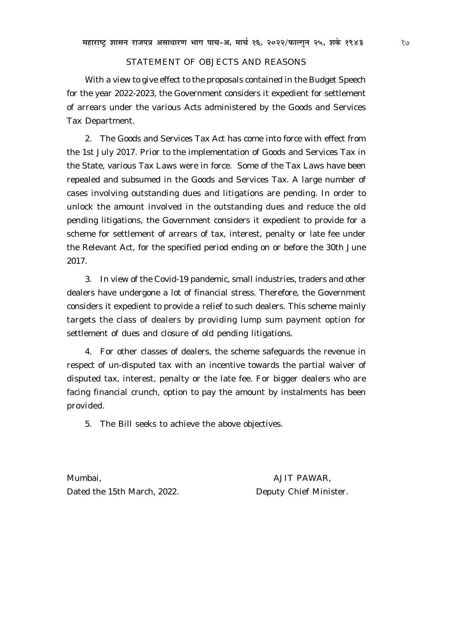#### STATEMENT OF OBJECTS AND REASONS

With a view to give effect to the proposals contained in the Budget Speech for the year 2022-2023, the Government considers it expedient for settlement of arrears under the various Acts administered by the Goods and Services Tax Department.

2. The Goods and Services Tax Act has come into force with effect from the 1st July 2017. Prior to the implementation of Goods and Services Tax in the State, various Tax Laws were in force. Some of the Tax Laws have been repealed and subsumed in the Goods and Services Tax. A large number of cases involving outstanding dues and litigations are pending. In order to unlock the amount involved in the outstanding dues and reduce the old pending litigations, the Government considers it expedient to provide for a scheme for settlement of arrears of tax, interest, penalty or late fee under the Relevant Act, for the specified period ending on or before the 30th June 2017.

3. In view of the Covid-19 pandemic, small industries, traders and other dealers have undergone a lot of financial stress. Therefore, the Government considers it expedient to provide a relief to such dealers. This scheme mainly targets the class of dealers by providing lump sum payment option for settlement of dues and closure of old pending litigations.

4. For other classes of dealers, the scheme safeguards the revenue in respect of un-disputed tax with an incentive towards the partial waiver of disputed tax, interest, penalty or the late fee. For bigger dealers who are facing financial crunch, option to pay the amount by instalments has been provided.

5. The Bill seeks to achieve the above objectives.

Mumbai, AJIT PAWAR, Dated the 15th March, 2022. Deputy Chief Minister.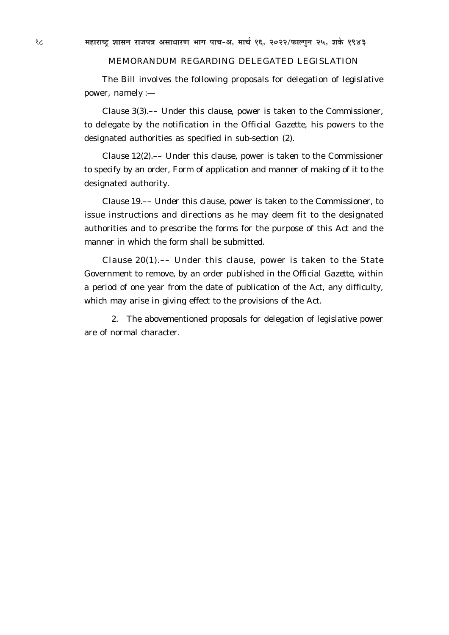#### MEMORANDUM REGARDING DELEGATED LEGISLATION

The Bill involves the following proposals for delegation of legislative power, namely :—

*Clause 3(3)*.–– Under this clause, power is taken to the Commissioner, to delegate by the notification in the *Official Gazette,* his powers to the designated authorities as specified in sub-section (*2*).

*Clause 12(2)*.–– Under this clause, power is taken to the Commissioner to specify by an order, Form of application and manner of making of it to the designated authority.

*Clause 19*.–– Under this clause, power is taken to the Commissioner, to issue instructions and directions as he may deem fit to the designated authorities and to prescribe the forms for the purpose of this Act and the manner in which the form shall be submitted.

*Clause 20(1)*.–– Under this clause, power is taken to the State Government to remove, by an order published in the *Official Gazette,* within a period of one year from the date of publication of the Act, any difficulty, which may arise in giving effect to the provisions of the Act.

2. The abovementioned proposals for delegation of legislative power are of normal character.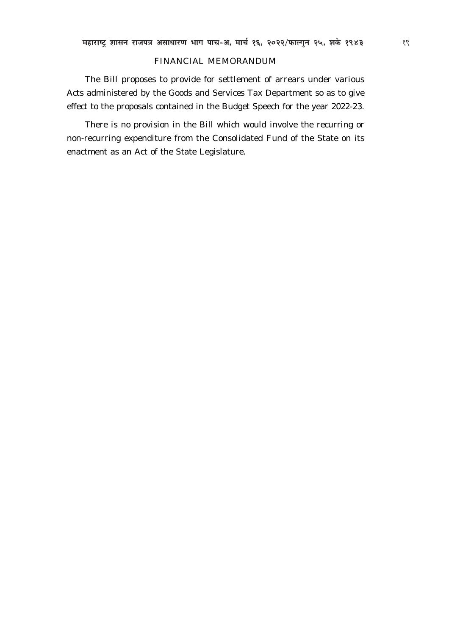#### FINANCIAL MEMORANDUM

The Bill proposes to provide for settlement of arrears under various Acts administered by the Goods and Services Tax Department so as to give effect to the proposals contained in the Budget Speech for the year 2022-23.

There is no provision in the Bill which would involve the recurring or non-recurring expenditure from the Consolidated Fund of the State on its enactment as an Act of the State Legislature.